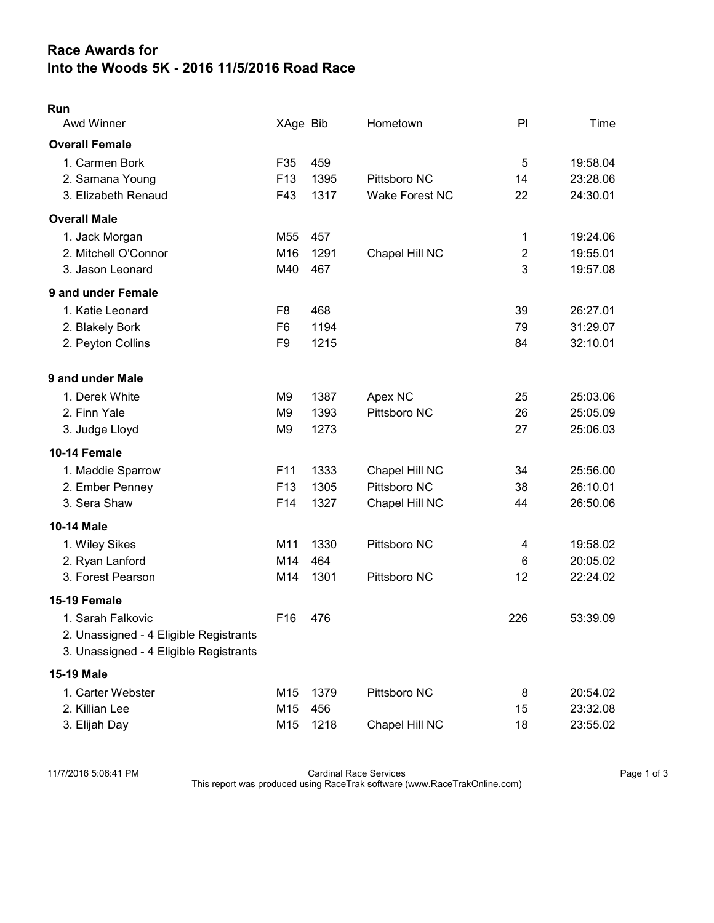## Race Awards for Into the Woods 5K - 2016 11/5/2016 Road Race

| Awd Winner                                                                                            | XAge Bib                                           |                      | Hometown                                         | PI                       | Time                             |
|-------------------------------------------------------------------------------------------------------|----------------------------------------------------|----------------------|--------------------------------------------------|--------------------------|----------------------------------|
| <b>Overall Female</b>                                                                                 |                                                    |                      |                                                  |                          |                                  |
| 1. Carmen Bork<br>2. Samana Young<br>3. Elizabeth Renaud                                              | F35<br>F13<br>F43                                  | 459<br>1395<br>1317  | Pittsboro NC<br><b>Wake Forest NC</b>            | 5<br>14<br>22            | 19:58.04<br>23:28.06<br>24:30.01 |
|                                                                                                       |                                                    |                      |                                                  |                          |                                  |
| <b>Overall Male</b><br>1. Jack Morgan<br>2. Mitchell O'Connor<br>3. Jason Leonard                     | M55<br>M16<br>M40                                  | 457<br>1291<br>467   | Chapel Hill NC                                   | 1<br>$\overline{2}$<br>3 | 19:24.06<br>19:55.01<br>19:57.08 |
| 9 and under Female                                                                                    |                                                    |                      |                                                  |                          |                                  |
| 1. Katie Leonard<br>2. Blakely Bork<br>2. Peyton Collins                                              | F <sub>8</sub><br>F <sub>6</sub><br>F <sub>9</sub> | 468<br>1194<br>1215  |                                                  | 39<br>79<br>84           | 26:27.01<br>31:29.07<br>32:10.01 |
| 9 and under Male                                                                                      |                                                    |                      |                                                  |                          |                                  |
| 1. Derek White<br>2. Finn Yale<br>3. Judge Lloyd                                                      | M <sub>9</sub><br>M <sub>9</sub><br>M <sub>9</sub> | 1387<br>1393<br>1273 | Apex NC<br>Pittsboro NC                          | 25<br>26<br>27           | 25:03.06<br>25:05.09<br>25:06.03 |
| 10-14 Female                                                                                          |                                                    |                      |                                                  |                          |                                  |
| 1. Maddie Sparrow<br>2. Ember Penney<br>3. Sera Shaw                                                  | F11<br>F13<br>F14                                  | 1333<br>1305<br>1327 | Chapel Hill NC<br>Pittsboro NC<br>Chapel Hill NC | 34<br>38<br>44           | 25:56.00<br>26:10.01<br>26:50.06 |
| <b>10-14 Male</b>                                                                                     |                                                    |                      |                                                  |                          |                                  |
| 1. Wiley Sikes<br>2. Ryan Lanford<br>3. Forest Pearson                                                | M11<br>M14<br>M14                                  | 1330<br>464<br>1301  | Pittsboro NC<br>Pittsboro NC                     | 4<br>6<br>12             | 19:58.02<br>20:05.02<br>22:24.02 |
| 15-19 Female                                                                                          |                                                    |                      |                                                  |                          |                                  |
| 1. Sarah Falkovic<br>2. Unassigned - 4 Eligible Registrants<br>3. Unassigned - 4 Eligible Registrants | F16                                                | 476                  |                                                  | 226                      | 53:39.09                         |
| <b>15-19 Male</b>                                                                                     |                                                    |                      |                                                  |                          |                                  |
| 1. Carter Webster<br>2. Killian Lee<br>3. Elijah Day                                                  | M15<br>M15<br>M15                                  | 1379<br>456<br>1218  | Pittsboro NC<br>Chapel Hill NC                   | 8<br>15<br>18            | 20:54.02<br>23:32.08<br>23:55.02 |

11/7/2016 5:06:41 PM Cardinal Race Services Page 1 of 3 This report was produced using RaceTrak software (www.RaceTrakOnline.com)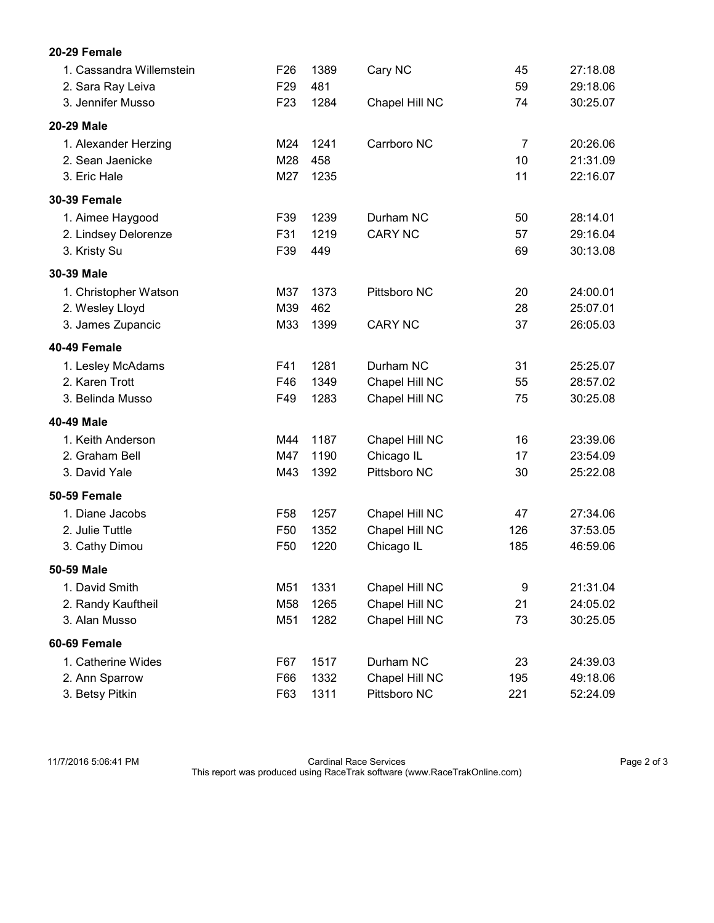| 20-29 Female             |                 |      |                |     |          |
|--------------------------|-----------------|------|----------------|-----|----------|
| 1. Cassandra Willemstein | F <sub>26</sub> | 1389 | Cary NC        | 45  | 27:18.08 |
| 2. Sara Ray Leiva        | F <sub>29</sub> | 481  |                | 59  | 29:18.06 |
| 3. Jennifer Musso        | F <sub>23</sub> | 1284 | Chapel Hill NC | 74  | 30:25.07 |
| 20-29 Male               |                 |      |                |     |          |
| 1. Alexander Herzing     | M24             | 1241 | Carrboro NC    | 7   | 20:26.06 |
| 2. Sean Jaenicke         | M28             | 458  |                | 10  | 21:31.09 |
| 3. Eric Hale             | M27             | 1235 |                | 11  | 22:16.07 |
| <b>30-39 Female</b>      |                 |      |                |     |          |
| 1. Aimee Haygood         | F39             | 1239 | Durham NC      | 50  | 28:14.01 |
| 2. Lindsey Delorenze     | F31             | 1219 | <b>CARY NC</b> | 57  | 29:16.04 |
| 3. Kristy Su             | F39             | 449  |                | 69  | 30:13.08 |
| 30-39 Male               |                 |      |                |     |          |
| 1. Christopher Watson    | M37             | 1373 | Pittsboro NC   | 20  | 24:00.01 |
| 2. Wesley Lloyd          | M39             | 462  |                | 28  | 25:07.01 |
| 3. James Zupancic        | M33             | 1399 | <b>CARY NC</b> | 37  | 26:05.03 |
| <b>40-49 Female</b>      |                 |      |                |     |          |
| 1. Lesley McAdams        | F41             | 1281 | Durham NC      | 31  | 25:25.07 |
| 2. Karen Trott           | F46             | 1349 | Chapel Hill NC | 55  | 28:57.02 |
| 3. Belinda Musso         | F49             | 1283 | Chapel Hill NC | 75  | 30:25.08 |
| 40-49 Male               |                 |      |                |     |          |
| 1. Keith Anderson        | M44             | 1187 | Chapel Hill NC | 16  | 23:39.06 |
| 2. Graham Bell           | M47             | 1190 | Chicago IL     | 17  | 23:54.09 |
| 3. David Yale            | M43             | 1392 | Pittsboro NC   | 30  | 25:22.08 |
| <b>50-59 Female</b>      |                 |      |                |     |          |
| 1. Diane Jacobs          | F <sub>58</sub> | 1257 | Chapel Hill NC | 47  | 27:34.06 |
| 2. Julie Tuttle          | F <sub>50</sub> | 1352 | Chapel Hill NC | 126 | 37:53.05 |
| 3. Cathy Dimou           | F <sub>50</sub> | 1220 | Chicago IL     | 185 | 46:59.06 |
| 50-59 Male               |                 |      |                |     |          |
| 1. David Smith           | M51             | 1331 | Chapel Hill NC | 9   | 21:31.04 |
| 2. Randy Kauftheil       | M58             | 1265 | Chapel Hill NC | 21  | 24:05.02 |
| 3. Alan Musso            | M51             | 1282 | Chapel Hill NC | 73  | 30:25.05 |
| 60-69 Female             |                 |      |                |     |          |
| 1. Catherine Wides       | F67             | 1517 | Durham NC      | 23  | 24:39.03 |
| 2. Ann Sparrow           | F66             | 1332 | Chapel Hill NC | 195 | 49:18.06 |

3. Betsy Pitkin F63 1311 Pittsboro NC 221 52:24.09

11/7/2016 5:06:41 PM Cardinal Race Services Page 2 of 3 This report was produced using RaceTrak software (www.RaceTrakOnline.com)